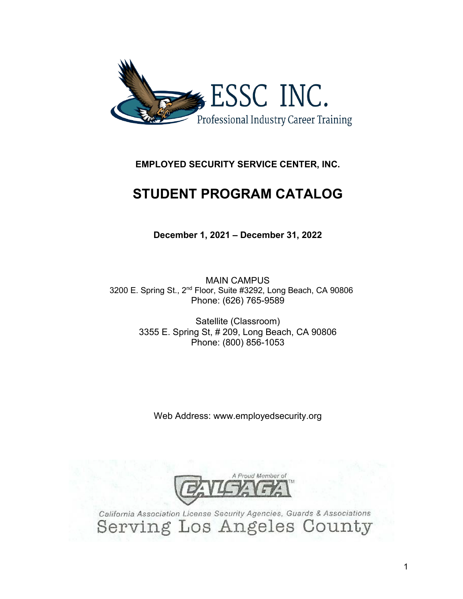

### **EMPLOYED SECURITY SERVICE CENTER, INC.**

## **STUDENT PROGRAM CATALOG**

### **December 1, 2021 – December 31, 2022**

MAIN CAMPUS 3200 E. Spring St., 2nd Floor, Suite #3292, Long Beach, CA 90806 Phone: (626) 765-9589

> Satellite (Classroom) 3355 E. Spring St, # 209, Long Beach, CA 90806 Phone: (800) 856-1053

Web Address: www.employedsecurity.org

A Proud Member of

California Association License Security Agencies, Guards & Associations Serving Los Angeles County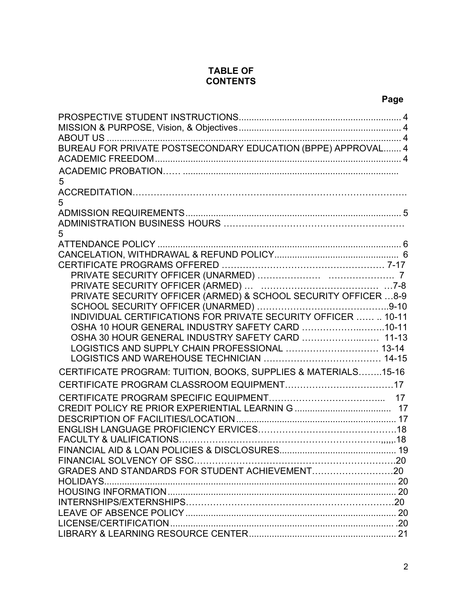### **TABLE OF CONTENTS**

| BUREAU FOR PRIVATE POSTSECONDARY EDUCATION (BPPE) APPROVAL 4    |  |
|-----------------------------------------------------------------|--|
|                                                                 |  |
|                                                                 |  |
| 5                                                               |  |
|                                                                 |  |
| 5                                                               |  |
|                                                                 |  |
|                                                                 |  |
| 5                                                               |  |
|                                                                 |  |
|                                                                 |  |
|                                                                 |  |
|                                                                 |  |
| PRIVATE SECURITY OFFICER (ARMED) & SCHOOL SECURITY OFFICER  8-9 |  |
|                                                                 |  |
| INDIVIDUAL CERTIFICATIONS FOR PRIVATE SECURITY OFFICER  10-11   |  |
| OSHA 10 HOUR GENERAL INDUSTRY SAFETY CARD 10-11                 |  |
| OSHA 30 HOUR GENERAL INDUSTRY SAFETY CARD  11-13                |  |
| LOGISTICS AND SUPPLY CHAIN PROFESSIONAL  13-14                  |  |
|                                                                 |  |
| CERTIFICATE PROGRAM: TUITION, BOOKS, SUPPLIES & MATERIALS15-16  |  |
|                                                                 |  |
|                                                                 |  |
|                                                                 |  |
|                                                                 |  |
|                                                                 |  |
|                                                                 |  |
|                                                                 |  |
| GRADES AND STANDARDS FOR STUDENT ACHIEVEMENT20                  |  |
|                                                                 |  |
|                                                                 |  |
|                                                                 |  |
|                                                                 |  |
|                                                                 |  |
|                                                                 |  |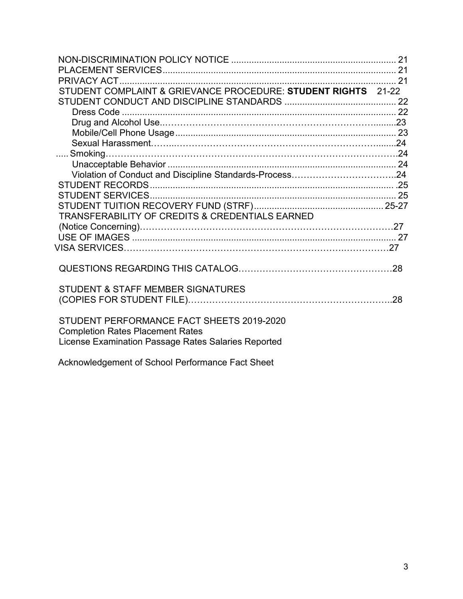| STUDENT COMPLAINT & GRIEVANCE PROCEDURE: STUDENT RIGHTS 21-22                                                                               |  |
|---------------------------------------------------------------------------------------------------------------------------------------------|--|
|                                                                                                                                             |  |
|                                                                                                                                             |  |
|                                                                                                                                             |  |
|                                                                                                                                             |  |
|                                                                                                                                             |  |
| TRANSFERABILITY OF CREDITS & CREDENTIALS EARNED                                                                                             |  |
|                                                                                                                                             |  |
|                                                                                                                                             |  |
|                                                                                                                                             |  |
| STUDENT & STAFF MEMBER SIGNATURES                                                                                                           |  |
| STUDENT PERFORMANCE FACT SHEETS 2019-2020<br><b>Completion Rates Placement Rates</b><br>License Examination Passage Rates Salaries Reported |  |

Acknowledgement of School Performance Fact Sheet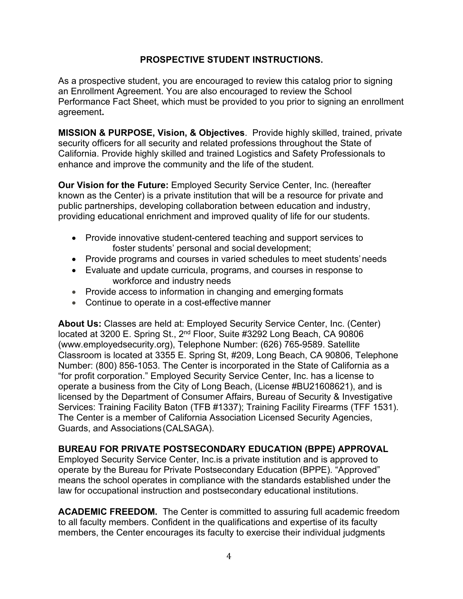### **PROSPECTIVE STUDENT INSTRUCTIONS.**

As a prospective student, you are encouraged to review this catalog prior to signing an Enrollment Agreement. You are also encouraged to review the School Performance Fact Sheet, which must be provided to you prior to signing an enrollment agreement**.**

<span id="page-3-0"></span>**MISSION & PURPOSE, Vision, & Objectives**. Provide highly skilled, trained, private security officers for all security and related professions throughout the State of California. Provide highly skilled and trained Logistics and Safety Professionals to enhance and improve the community and the life of the student.

**Our Vision for the Future:** Employed Security Service Center, Inc. (hereafter known as the Center) is a private institution that will be a resource for private and public partnerships, developing collaboration between education and industry, providing educational enrichment and improved quality of life for our students.

- Provide innovative student-centered teaching and support services to foster students' personal and social development;
- Provide programs and courses in varied schedules to meet students'needs
- Evaluate and update curricula, programs, and courses in response to workforce and industry needs
- Provide access to information in changing and emerging formats
- Continue to operate in a cost-effective manner

**About Us:** Classes are held at: Employed Security Service Center, Inc. (Center) located at 3200 E. Spring St., 2<sup>nd</sup> Floor, Suite #3292 Long Beach, CA 90806 (www.employedsecurity.org), Telephone Number: (626) 765-9589. Satellite Classroom is located at 3355 E. Spring St, #209, Long Beach, CA 90806, Telephone Number: (800) 856-1053. The Center is incorporated in the State of California as a "for profit corporation." Employed Security Service Center, Inc. has a license to operate a business from the City of Long Beach, (License #BU21608621), and is licensed by the Department of Consumer Affairs, Bureau of Security & Investigative Services: Training Facility Baton (TFB #1337); Training Facility Firearms (TFF 1531). The Center is a member of California Association Licensed Security Agencies, Guards, and Associations (CALSAGA).

### **BUREAU FOR PRIVATE POSTSECONDARY EDUCATION (BPPE) APPROVAL**

Employed Security Service Center, Inc.is a private institution and is approved to operate by the Bureau for Private Postsecondary Education (BPPE). "Approved" means the school operates in compliance with the standards established under the law for occupational instruction and postsecondary educational institutions.

**ACADEMIC FREEDOM.** The Center is committed to assuring full academic freedom to all faculty members. Confident in the qualifications and expertise of its faculty members, the Center encourages its faculty to exercise their individual judgments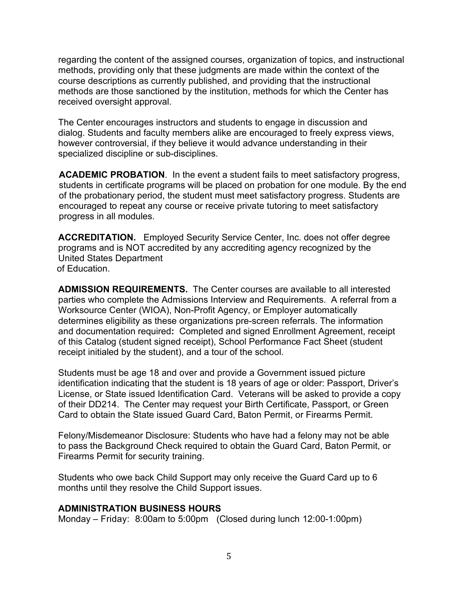regarding the content of the assigned courses, organization of topics, and instructional methods, providing only that these judgments are made within the context of the course descriptions as currently published, and providing that the instructional methods are those sanctioned by the institution, methods for which the Center has received oversight approval.

The Center encourages instructors and students to engage in discussion and dialog. Students and faculty members alike are encouraged to freely express views, however controversial, if they believe it would advance understanding in their specialized discipline or sub-disciplines.

**ACADEMIC PROBATION**. In the event a student fails to meet satisfactory progress, students in certificate programs will be placed on probation for one module. By the end of the probationary period, the student must meet satisfactory progress. Students are encouraged to repeat any course or receive private tutoring to meet satisfactory progress in all modules.

**ACCREDITATION.** Employed Security Service Center, Inc. does not offer degree programs and is NOT accredited by any accrediting agency recognized by the United States Department of Education.

<span id="page-4-0"></span>**ADMISSION REQUIREMENTS.** The Center courses are available to all interested parties who complete the Admissions Interview and Requirements. A referral from a Worksource Center (WIOA), Non-Profit Agency, or Employer automatically determines eligibility as these organizations pre-screen referrals. The information and documentation required**:** Completed and signed Enrollment Agreement, receipt of this Catalog (student signed receipt), School Performance Fact Sheet (student receipt initialed by the student), and a tour of the school.

Students must be age 18 and over and provide a Government issued picture identification indicating that the student is 18 years of age or older: Passport, Driver's License, or State issued Identification Card. Veterans will be asked to provide a copy of their DD214. The Center may request your Birth Certificate, Passport, or Green Card to obtain the State issued Guard Card, Baton Permit, or Firearms Permit.

Felony/Misdemeanor Disclosure: Students who have had a felony may not be able to pass the Background Check required to obtain the Guard Card, Baton Permit, or Firearms Permit for security training.

Students who owe back Child Support may only receive the Guard Card up to 6 months until they resolve the Child Support issues.

### **ADMINISTRATION BUSINESS HOURS**

Monday – Friday: 8:00am to 5:00pm (Closed during lunch 12:00-1:00pm)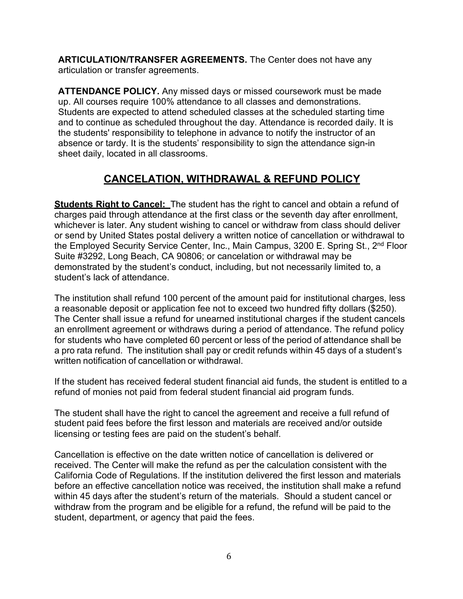<span id="page-5-0"></span>**ARTICULATION/TRANSFER AGREEMENTS.** The Center does not have any articulation or transfer agreements.

<span id="page-5-1"></span>**ATTENDANCE POLICY.** Any missed days or missed coursework must be made up. All courses require 100% attendance to all classes and demonstrations. Students are expected to attend scheduled classes at the scheduled starting time and to continue as scheduled throughout the day. Attendance is recorded daily. It is the students' responsibility to telephone in advance to notify the instructor of an absence or tardy. It is the students' responsibility to sign the attendance sign-in sheet daily, located in all classrooms.

### **CANCELATION, WITHDRAWAL & REFUND POLICY**

**Students Right to Cancel:** The student has the right to cancel and obtain a refund of charges paid through attendance at the first class or the seventh day after enrollment, whichever is later. Any student wishing to cancel or withdraw from class should deliver or send by United States postal delivery a written notice of cancellation or withdrawal to the Employed Security Service Center, Inc., Main Campus, 3200 E. Spring St., 2<sup>nd</sup> Floor Suite #3292, Long Beach, CA 90806; or cancelation or withdrawal may be demonstrated by the student's conduct, including, but not necessarily limited to, a student's lack of attendance.

The institution shall refund 100 percent of the amount paid for institutional charges, less a reasonable deposit or application fee not to exceed two hundred fifty dollars (\$250). The Center shall issue a refund for unearned institutional charges if the student cancels an enrollment agreement or withdraws during a period of attendance. The refund policy for students who have completed 60 percent or less of the period of attendance shall be a pro rata refund. The institution shall pay or credit refunds within 45 days of a student's written notification of cancellation or withdrawal.

If the student has received federal student financial aid funds, the student is entitled to a refund of monies not paid from federal student financial aid program funds.

The student shall have the right to cancel the agreement and receive a full refund of student paid fees before the first lesson and materials are received and/or outside licensing or testing fees are paid on the student's behalf.

Cancellation is effective on the date written notice of cancellation is delivered or received. The Center will make the refund as per the calculation consistent with the California Code of Regulations. If the institution delivered the first lesson and materials before an effective cancellation notice was received, the institution shall make a refund within 45 days after the student's return of the materials. Should a student cancel or withdraw from the program and be eligible for a refund, the refund will be paid to the student, department, or agency that paid the fees.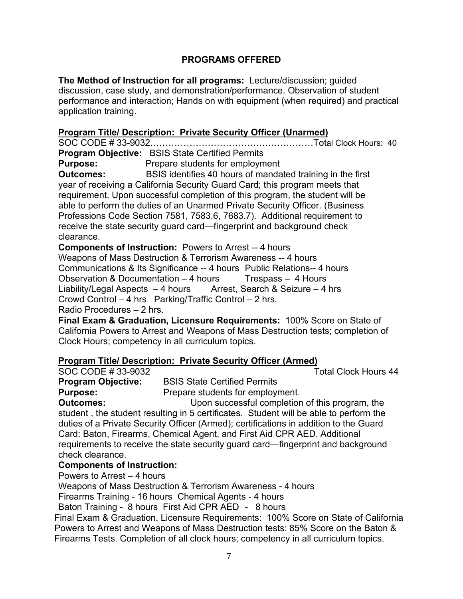### **PROGRAMS OFFERED**

**The Method of Instruction for all programs:** Lecture/discussion; guided discussion, case study, and demonstration/performance. Observation of student performance and interaction; Hands on with equipment (when required) and practical application training.

### **Program Title/ Description: Private Security Officer (Unarmed)**

SOC CODE # 33-9032………………………………………………Total Clock Hours: 40 **Program Objective:** BSIS State Certified Permits

**Purpose:** Prepare students for employment

**Outcomes:** BSIS identifies 40 hours of mandated training in the first year of receiving a California Security Guard Card; this program meets that requirement. Upon successful completion of this program, the student will be able to perform the duties of an Unarmed Private Security Officer. (Business Professions Code Section 7581, 7583.6, 7683.7). Additional requirement to receive the state security guard card—fingerprint and background check clearance.

**Components of Instruction:** Powers to Arrest -- 4 hours Weapons of Mass Destruction & Terrorism Awareness -- 4 hours Communications & Its Significance -- 4 hours Public Relations-- 4 hours Observation & Documentation – 4 hours Trespass – 4 Hours Liability/Legal Aspects  $-4$  hours Arrest, Search & Seizure  $-4$  hrs Crowd Control – 4 hrs Parking/Traffic Control – 2 hrs. Radio Procedures – 2 hrs.

**Final Exam & Graduation, Licensure Requirements:** 100% Score on State of California Powers to Arrest and Weapons of Mass Destruction tests; completion of Clock Hours; competency in all curriculum topics.

### **Program Title/ Description: Private Security Officer (Armed)**  $SOC CODE # 33-9032$

**Program Objective:** BSIS State Certified Permits **Purpose:** Prepare students for employment.

**Outcomes:** Upon successful completion of this program, the student , the student resulting in 5 certificates. Student will be able to perform the duties of a Private Security Officer (Armed); certifications in addition to the Guard Card: Baton, Firearms, Chemical Agent, and First Aid CPR AED. Additional requirements to receive the state security guard card—fingerprint and background check clearance.

### **Components of Instruction:**

Powers to Arrest – 4 hours

Weapons of Mass Destruction & Terrorism Awareness - 4 hours

Firearms Training - 16 hours Chemical Agents - 4 hours

Baton Training - 8 hours First Aid CPR AED - 8 hours

Final Exam & Graduation, Licensure Requirements: 100% Score on State of California Powers to Arrest and Weapons of Mass Destruction tests: 85% Score on the Baton & Firearms Tests. Completion of all clock hours; competency in all curriculum topics.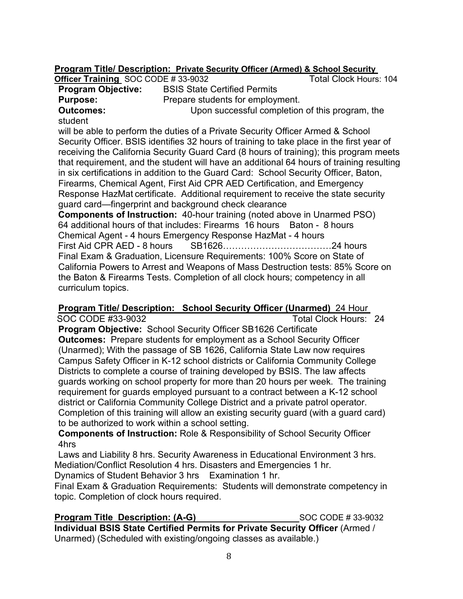### **Program Title/ Description: Private Security Officer (Armed) & School Security**

**Officer Training** SOC CODE # 33-9032 Total Clock Hours: 104<br>**Program Objective:** BSIS State Certified Permits

**Program Objective:** BSIS State Certified Permits<br>**Program Contact Purpose:** Prepare students for employn

Prepare students for employment. **Outcomes:** Upon successful completion of this program, the

student

will be able to perform the duties of a Private Security Officer Armed & School Security Officer. BSIS identifies 32 hours of training to take place in the first year of receiving the California Security Guard Card (8 hours of training); this program meets that requirement, and the student will have an additional 64 hours of training resulting in six certifications in addition to the Guard Card: School Security Officer, Baton, Firearms, Chemical Agent, First Aid CPR AED Certification, and Emergency Response HazMat certificate. Additional requirement to receive the state security guard card—fingerprint and background check clearance **Components of Instruction:** 40-hour training (noted above in Unarmed PSO)

64 additional hours of that includes: Firearms 16 hours Baton - 8 hours Chemical Agent - 4 hours Emergency Response HazMat - 4 hours

First Aid CPR AED - 8 hours SB1626………………………………24 hours Final Exam & Graduation, Licensure Requirements: 100% Score on State of California Powers to Arrest and Weapons of Mass Destruction tests: 85% Score on the Baton & Firearms Tests. Completion of all clock hours; competency in all curriculum topics.

**Program Title/ Description: School Security Officer (Unarmed)** 24 Hour

SOC CODE #33-9032 Total Clock Hours: 24 **Program Objective:** School Security Officer SB1626 Certificate **Outcomes:** Prepare students for employment as a School Security Officer (Unarmed); With the passage of SB 1626, California State Law now requires Campus Safety Officer in K-12 school districts or California Community College Districts to complete a course of training developed by BSIS. The law affects guards working on school property for more than 20 hours per week. The training requirement for guards employed pursuant to a contract between a K-12 school district or California Community College District and a private patrol operator. Completion of this training will allow an existing security guard (with a guard card) to be authorized to work within a school setting.

**Components of Instruction:** Role & Responsibility of School Security Officer 4hrs

Laws and Liability 8 hrs. Security Awareness in Educational Environment 3 hrs. Mediation/Conflict Resolution 4 hrs. Disasters and Emergencies 1 hr.

Dynamics of Student Behavior 3 hrs Examination 1 hr.

Final Exam & Graduation Requirements: Students will demonstrate competency in topic. Completion of clock hours required.

### **Program Title Description: (A-G)** 80C CODE # 33-9032

**Individual BSIS State Certified Permits for Private Security Officer** (Armed / Unarmed) (Scheduled with existing/ongoing classes as available.)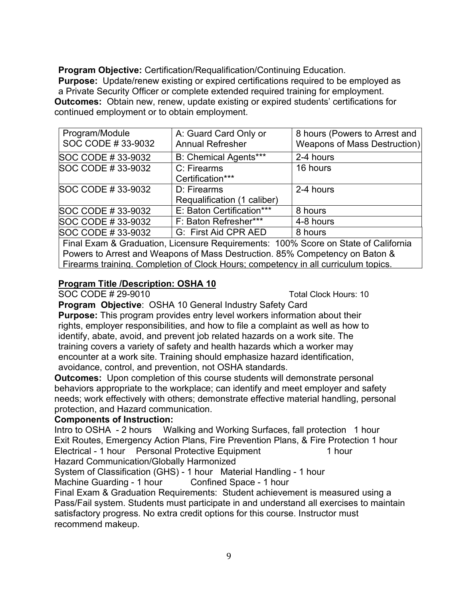**Program Objective:** Certification/Requalification/Continuing Education.

**Purpose:** Update/renew existing or expired certifications required to be employed as a Private Security Officer or complete extended required training for employment. **Outcomes:** Obtain new, renew, update existing or expired students' certifications for continued employment or to obtain employment.

| Program/Module<br>SOC CODE #33-9032 | A: Guard Card Only or<br><b>Annual Refresher</b> | 8 hours (Powers to Arrest and<br>Weapons of Mass Destruction) |
|-------------------------------------|--------------------------------------------------|---------------------------------------------------------------|
| SOC CODE #33-9032                   | <b>B: Chemical Agents***</b>                     | 2-4 hours                                                     |
| SOC CODE #33-9032                   | C: Firearms<br>Certification***                  | 16 hours                                                      |
| SOC CODE #33-9032                   | D: Firearms<br>Requalification (1 caliber)       | 2-4 hours                                                     |
| SOC CODE #33-9032                   | E: Baton Certification***                        | 8 hours                                                       |
| SOC CODE #33-9032                   | F: Baton Refresher***                            | 4-8 hours                                                     |
| SOC CODE #33-9032                   | G: First Aid CPR AED                             | 8 hours                                                       |

Final Exam & Graduation, Licensure Requirements: 100% Score on State of California Powers to Arrest and Weapons of Mass Destruction. 85% Competency on Baton & Firearms training. Completion of Clock Hours; competency in all curriculum topics.

### **Program Title /Description: OSHA 10**

SOC CODE # 29-9010 Total Clock Hours: 10

**Program Objective**: OSHA 10 General Industry Safety Card **Purpose:** This program provides entry level workers information about their rights, employer responsibilities, and how to file a complaint as well as how to identify, abate, avoid, and prevent job related hazards on a work site. The training covers a variety of safety and health hazards which a worker may encounter at a work site. Training should emphasize hazard identification, avoidance, control, and prevention, not OSHA standards.

**Outcomes:** Upon completion of this course students will demonstrate personal behaviors appropriate to the workplace; can identify and meet employer and safety needs; work effectively with others; demonstrate effective material handling, personal protection, and Hazard communication.

### **Components of Instruction:**

Intro to OSHA - 2 hours Walking and Working Surfaces, fall protection 1 hour Exit Routes, Emergency Action Plans, Fire Prevention Plans, & Fire Protection 1 hour Electrical - 1 hour Personal Protective Equipment 1 hour Hazard Communication/Globally Harmonized

System of Classification (GHS) - 1 hour Material Handling - 1 hour

Machine Guarding - 1 hour Confined Space - 1 hour

Final Exam & Graduation Requirements: Student achievement is measured using a Pass/Fail system. Students must participate in and understand all exercises to maintain satisfactory progress. No extra credit options for this course. Instructor must recommend makeup.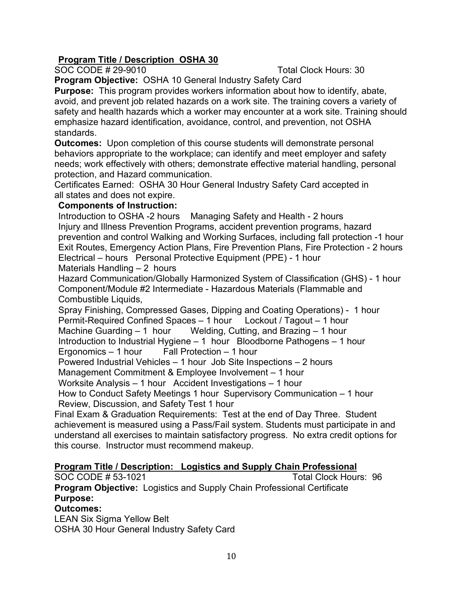### **Program Title / Description OSHA 30**

### SOC CODE # 29-9010 Total Clock Hours: 30

**Program Objective:** OSHA 10 General Industry Safety Card

**Purpose:** This program provides workers information about how to identify, abate, avoid, and prevent job related hazards on a work site. The training covers a variety of safety and health hazards which a worker may encounter at a work site. Training should emphasize hazard identification, avoidance, control, and prevention, not OSHA standards.

**Outcomes:** Upon completion of this course students will demonstrate personal behaviors appropriate to the workplace; can identify and meet employer and safety needs; work effectively with others; demonstrate effective material handling, personal protection, and Hazard communication.

Certificates Earned: OSHA 30 Hour General Industry Safety Card accepted in all states and does not expire.

### **Components of Instruction:**

Introduction to OSHA -2 hours Managing Safety and Health - 2 hours Injury and Illness Prevention Programs, accident prevention programs, hazard prevention and control Walking and Working Surfaces, including fall protection -1 hour Exit Routes, Emergency Action Plans, Fire Prevention Plans, Fire Protection - 2 hours Electrical – hours Personal Protective Equipment (PPE) - 1 hour Materials Handling – 2 hours

Hazard Communication/Globally Harmonized System of Classification (GHS) - 1 hour Component/Module #2 Intermediate - Hazardous Materials (Flammable and Combustible Liquids,

Spray Finishing, Compressed Gases, Dipping and Coating Operations) - 1 hour Permit-Required Confined Spaces – 1 hour Lockout / Tagout – 1 hour Machine Guarding  $-1$  hour Welding, Cutting, and Brazing  $-1$  hour

Introduction to Industrial Hygiene – 1 hour Bloodborne Pathogens – 1 hour Ergonomics  $-1$  hour Fall Protection  $-1$  hour

Powered Industrial Vehicles – 1 hour Job Site Inspections – 2 hours

Management Commitment & Employee Involvement – 1 hour

Worksite Analysis – 1 hour Accident Investigations – 1 hour

How to Conduct Safety Meetings 1 hour Supervisory Communication – 1 hour Review, Discussion, and Safety Test 1 hour

Final Exam & Graduation Requirements: Test at the end of Day Three. Student achievement is measured using a Pass/Fail system. Students must participate in and understand all exercises to maintain satisfactory progress. No extra credit options for this course. Instructor must recommend makeup.

### **Program Title / Description: Logistics and Supply Chain Professional**

SOC CODE # 53-1021 Total Clock Hours: 96

**Program Objective:** Logistics and Supply Chain Professional Certificate **Purpose:** 

### **Outcomes:**

LEAN Six Sigma Yellow Belt OSHA 30 Hour General Industry Safety Card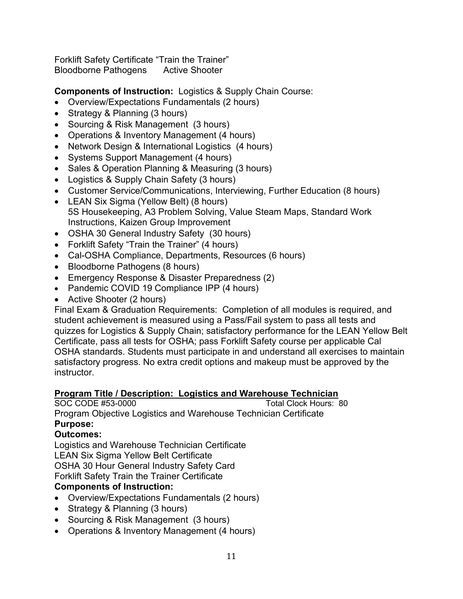Forklift Safety Certificate "Train the Trainer" Bloodborne Pathogens Active Shooter

### **Components of Instruction:** Logistics & Supply Chain Course:

- Overview/Expectations Fundamentals (2 hours)
- Strategy & Planning (3 hours)
- Sourcing & Risk Management (3 hours)
- Operations & Inventory Management (4 hours)
- Network Design & International Logistics (4 hours)
- Systems Support Management (4 hours)
- Sales & Operation Planning & Measuring (3 hours)
- Logistics & Supply Chain Safety (3 hours)
- Customer Service/Communications, Interviewing, Further Education (8 hours)
- LEAN Six Sigma (Yellow Belt) (8 hours) 5S Housekeeping, A3 Problem Solving, Value Steam Maps, Standard Work Instructions, Kaizen Group Improvement
- OSHA 30 General Industry Safety (30 hours)
- Forklift Safety "Train the Trainer" (4 hours)
- Cal-OSHA Compliance, Departments, Resources (6 hours)
- Bloodborne Pathogens (8 hours)
- Emergency Response & Disaster Preparedness (2)
- Pandemic COVID 19 Compliance IPP (4 hours)
- Active Shooter (2 hours)

Final Exam & Graduation Requirements: Completion of all modules is required, and student achievement is measured using a Pass/Fail system to pass all tests and quizzes for Logistics & Supply Chain; satisfactory performance for the LEAN Yellow Belt Certificate, pass all tests for OSHA; pass Forklift Safety course per applicable Cal OSHA standards. Students must participate in and understand all exercises to maintain satisfactory progress. No extra credit options and makeup must be approved by the instructor.

# **Program Title / Description: Logistics and Warehouse Technician**

SOC CODE #53-0000

Program Objective Logistics and Warehouse Technician Certificate **Purpose:**

### **Outcomes:**

Logistics and Warehouse Technician Certificate LEAN Six Sigma Yellow Belt Certificate OSHA 30 Hour General Industry Safety Card Forklift Safety Train the Trainer Certificate **Components of Instruction:**

- Overview/Expectations Fundamentals (2 hours)
- Strategy & Planning (3 hours)
- Sourcing & Risk Management (3 hours)
- Operations & Inventory Management (4 hours)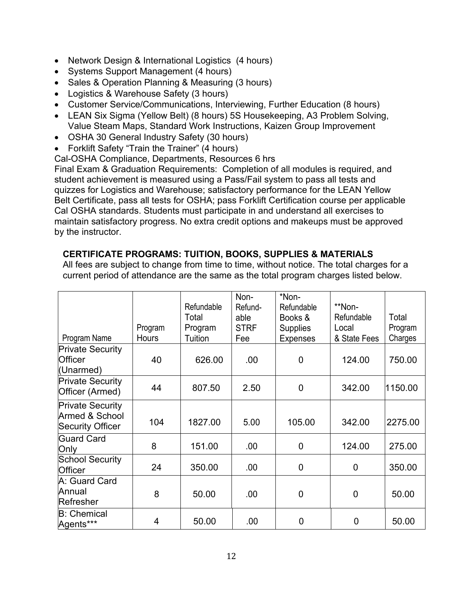- Network Design & International Logistics (4 hours)
- Systems Support Management (4 hours)
- Sales & Operation Planning & Measuring (3 hours)
- Logistics & Warehouse Safety (3 hours)
- Customer Service/Communications, Interviewing, Further Education (8 hours)
- LEAN Six Sigma (Yellow Belt) (8 hours) 5S Housekeeping, A3 Problem Solving, Value Steam Maps, Standard Work Instructions, Kaizen Group Improvement
- OSHA 30 General Industry Safety (30 hours)
- Forklift Safety "Train the Trainer" (4 hours)
- Cal-OSHA Compliance, Departments, Resources 6 hrs

Final Exam & Graduation Requirements: Completion of all modules is required, and student achievement is measured using a Pass/Fail system to pass all tests and quizzes for Logistics and Warehouse; satisfactory performance for the LEAN Yellow Belt Certificate, pass all tests for OSHA; pass Forklift Certification course per applicable Cal OSHA standards. Students must participate in and understand all exercises to maintain satisfactory progress. No extra credit options and makeups must be approved by the instructor.

### **CERTIFICATE PROGRAMS: TUITION, BOOKS, SUPPLIES & MATERIALS**

All fees are subject to change from time to time, without notice. The total charges for a current period of attendance are the same as the total program charges listed below.

|                                                                      |              | Refundable | Non-<br>Refund- | *Non-<br>Refundable | **Non-         |         |
|----------------------------------------------------------------------|--------------|------------|-----------------|---------------------|----------------|---------|
|                                                                      |              | Total      | able            | Books &             | Refundable     | Total   |
|                                                                      | Program      | Program    | <b>STRF</b>     | <b>Supplies</b>     | Local          | Program |
| Program Name                                                         | <b>Hours</b> | Tuition    | Fee             | <b>Expenses</b>     | & State Fees   | Charges |
| <b>Private Security</b>                                              |              |            |                 |                     |                |         |
| <b>Officer</b>                                                       | 40           | 626.00     | .00.            | $\overline{0}$      | 124.00         | 750.00  |
| (Unarmed)                                                            |              |            |                 |                     |                |         |
| <b>Private Security</b><br>Officer (Armed)                           | 44           | 807.50     | 2.50            | $\mathbf 0$         | 342.00         | 1150.00 |
| <b>Private Security</b><br>Armed & School<br><b>Security Officer</b> | 104          | 1827.00    | 5.00            | 105.00              | 342.00         | 2275.00 |
| <b>Guard Card</b><br>Only                                            | 8            | 151.00     | .00.            | $\mathbf 0$         | 124.00         | 275.00  |
| <b>School Security</b><br><b>Officer</b>                             | 24           | 350.00     | .00.            | $\overline{0}$      | $\overline{0}$ | 350.00  |
| A: Guard Card<br>Annual<br>Refresher                                 | 8            | 50.00      | .00.            | $\mathbf 0$         | 0              | 50.00   |
| <b>B: Chemical</b><br>Agents***                                      | 4            | 50.00      | .00.            | 0                   | 0              | 50.00   |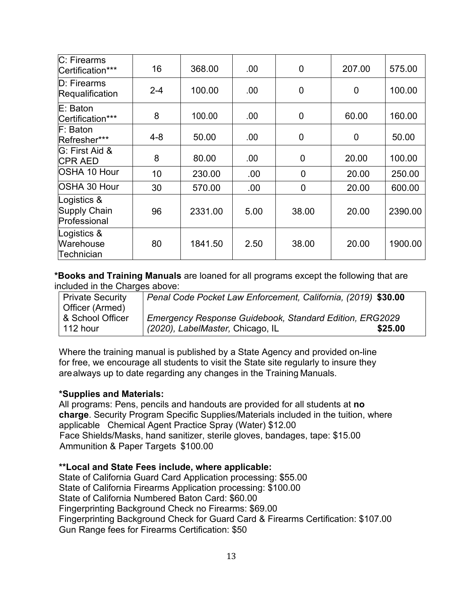| C: Firearms<br>Certification***             | 16      | 368.00  | .00. | $\mathbf 0$    | 207.00      | 575.00  |
|---------------------------------------------|---------|---------|------|----------------|-------------|---------|
| D: Firearms<br>Requalification              | $2 - 4$ | 100.00  | .00. | $\overline{0}$ | $\mathbf 0$ | 100.00  |
| E: Baton<br>Certification***                | 8       | 100.00  | .00  | $\mathbf 0$    | 60.00       | 160.00  |
| $F:$ Baton<br>Refresher***                  | $4 - 8$ | 50.00   | .00  | $\mathbf 0$    | $\mathbf 0$ | 50.00   |
| G: First Aid &<br><b>CPR AED</b>            | 8       | 80.00   | .00  | $\mathbf 0$    | 20.00       | 100.00  |
| <b>OSHA 10 Hour</b>                         | 10      | 230.00  | .00  | $\overline{0}$ | 20.00       | 250.00  |
| <b>OSHA 30 Hour</b>                         | 30      | 570.00  | .00  | $\overline{0}$ | 20.00       | 600.00  |
| Logistics &<br>Supply Chain<br>Professional | 96      | 2331.00 | 5.00 | 38.00          | 20.00       | 2390.00 |
| Logistics &<br>Warehouse<br>Technician      | 80      | 1841.50 | 2.50 | 38.00          | 20.00       | 1900.00 |

**\*Books and Training Manuals** are loaned for all programs except the following that are included in the Charges above:

| Private Security | Penal Code Pocket Law Enforcement, California, (2019) \$30.00  |
|------------------|----------------------------------------------------------------|
| Officer (Armed)  |                                                                |
| & School Officer | <b>Emergency Response Guidebook, Standard Edition, ERG2029</b> |
| 112 hour         | \$25.00<br>(2020), LabelMaster, Chicago, IL                    |

Where the training manual is published by a State Agency and provided on-line for free, we encourage all students to visit the State site regularly to insure they arealways up to date regarding any changes in the Training Manuals.

### **\*Supplies and Materials:**

All programs: Pens, pencils and handouts are provided for all students at **no charge**. Security Program Specific Supplies/Materials included in the tuition, where applicable Chemical Agent Practice Spray (Water) \$12.00 Face Shields/Masks, hand sanitizer, sterile gloves, bandages, tape: \$15.00 Ammunition & Paper Targets \$100.00

### **\*\*Local and State Fees include, where applicable:**

State of California Guard Card Application processing: \$55.00 State of California Firearms Application processing: \$100.00 State of California Numbered Baton Card: \$60.00 Fingerprinting Background Check no Firearms: \$69.00 Fingerprinting Background Check for Guard Card & Firearms Certification: \$107.00 Gun Range fees for Firearms Certification: \$50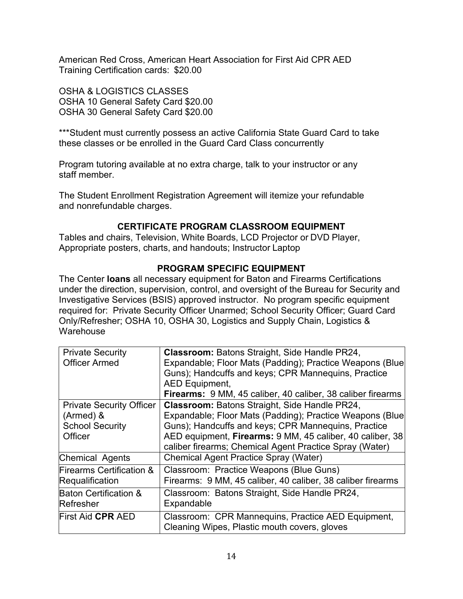American Red Cross, American Heart Association for First Aid CPR AED Training Certification cards: \$20.00

OSHA & LOGISTICS CLASSES OSHA 10 General Safety Card \$20.00 OSHA 30 General Safety Card \$20.00

\*\*\*Student must currently possess an active California State Guard Card to take these classes or be enrolled in the Guard Card Class concurrently

Program tutoring available at no extra charge, talk to your instructor or any staff member.

The Student Enrollment Registration Agreement will itemize your refundable and nonrefundable charges.

### **CERTIFICATE PROGRAM CLASSROOM EQUIPMENT**

Tables and chairs, Television, White Boards, LCD Projector or DVD Player, Appropriate posters, charts, and handouts; Instructor Laptop

### **PROGRAM SPECIFIC EQUIPMENT**

The Center **loans** all necessary equipment for Baton and Firearms Certifications under the direction, supervision, control, and oversight of the Bureau for Security and Investigative Services (BSIS) approved instructor. No program specific equipment required for: Private Security Officer Unarmed; School Security Officer; Guard Card Only/Refresher; OSHA 10, OSHA 30, Logistics and Supply Chain, Logistics & **Warehouse** 

| <b>Private Security</b><br><b>Officer Armed</b> | Classroom: Batons Straight, Side Handle PR24,<br>Expandable; Floor Mats (Padding); Practice Weapons (Blue |
|-------------------------------------------------|-----------------------------------------------------------------------------------------------------------|
|                                                 | Guns); Handcuffs and keys; CPR Mannequins, Practice                                                       |
|                                                 | <b>AED Equipment,</b>                                                                                     |
|                                                 | <b>Firearms:</b> 9 MM, 45 caliber, 40 caliber, 38 caliber firearms                                        |
| <b>Private Security Officer</b>                 | <b>Classroom: Batons Straight, Side Handle PR24,</b>                                                      |
| $(Armed)$ &                                     | Expandable; Floor Mats (Padding); Practice Weapons (Blue                                                  |
| <b>School Security</b>                          | Guns); Handcuffs and keys; CPR Mannequins, Practice                                                       |
| Officer                                         | AED equipment, Firearms: 9 MM, 45 caliber, 40 caliber, 38                                                 |
|                                                 | caliber firearms; Chemical Agent Practice Spray (Water)                                                   |
| Chemical Agents                                 | <b>Chemical Agent Practice Spray (Water)</b>                                                              |
| <b>Firearms Certification &amp;</b>             | Classroom: Practice Weapons (Blue Guns)                                                                   |
| Requalification                                 | Firearms: 9 MM, 45 caliber, 40 caliber, 38 caliber firearms                                               |
| <b>Baton Certification &amp;</b>                | Classroom: Batons Straight, Side Handle PR24,                                                             |
| Refresher                                       | Expandable                                                                                                |
| <b>First Aid CPR AED</b>                        | Classroom: CPR Mannequins, Practice AED Equipment,<br>Cleaning Wipes, Plastic mouth covers, gloves        |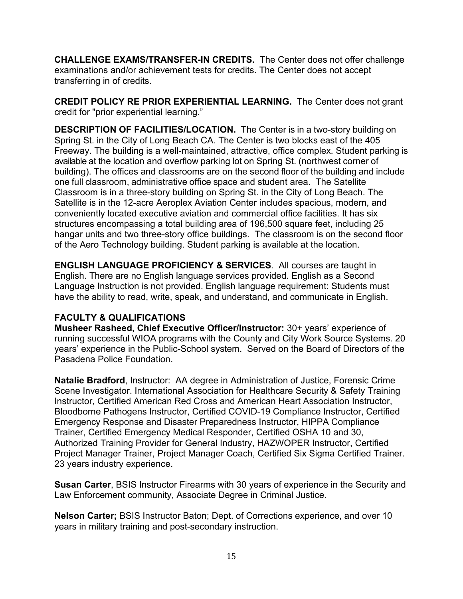**CHALLENGE EXAMS/TRANSFER-IN CREDITS.** The Center does not offer challenge examinations and/or achievement tests for credits. The Center does not accept transferring in of credits.

**CREDIT POLICY RE PRIOR EXPERIENTIAL LEARNING.** The Center does not grant credit for "prior experiential learning."

**DESCRIPTION OF FACILITIES/LOCATION.** The Center is in a two-story building on Spring St. in the City of Long Beach CA. The Center is two blocks east of the 405 Freeway. The building is a well-maintained, attractive, office complex. Student parking is available at the location and overflow parking lot on Spring St. (northwest corner of building). The offices and classrooms are on the second floor of the building and include one full classroom, administrative office space and student area. The Satellite Classroom is in a three-story building on Spring St. in the City of Long Beach. The Satellite is in the 12-acre Aeroplex Aviation Center includes spacious, modern, and conveniently located executive aviation and commercial office facilities. It has six structures encompassing a total building area of 196,500 square feet, including 25 hangar units and two three-story office buildings. The classroom is on the second floor of the Aero Technology building. Student parking is available at the location.

**ENGLISH LANGUAGE PROFICIENCY & SERVICES**. All courses are taught in English. There are no English language services provided. English as a Second Language Instruction is not provided. English language requirement: Students must have the ability to read, write, speak, and understand, and communicate in English.

### **FACULTY & QUALIFICATIONS**

**Musheer Rasheed, Chief Executive Officer/Instructor:** 30+ years' experience of running successful WIOA programs with the County and City Work Source Systems. 20 years' experience in the Public-School system. Served on the Board of Directors of the Pasadena Police Foundation.

**Natalie Bradford**, Instructor: AA degree in Administration of Justice, Forensic Crime Scene Investigator. International Association for Healthcare Security & Safety Training Instructor, Certified American Red Cross and American Heart Association Instructor, Bloodborne Pathogens Instructor, Certified COVID-19 Compliance Instructor, Certified Emergency Response and Disaster Preparedness Instructor, HIPPA Compliance Trainer, Certified Emergency Medical Responder, Certified OSHA 10 and 30, Authorized Training Provider for General Industry, HAZWOPER Instructor, Certified Project Manager Trainer, Project Manager Coach, Certified Six Sigma Certified Trainer. 23 years industry experience.

**Susan Carter**, BSIS Instructor Firearms with 30 years of experience in the Security and Law Enforcement community, Associate Degree in Criminal Justice.

**Nelson Carter;** BSIS Instructor Baton; Dept. of Corrections experience, and over 10 years in military training and post-secondary instruction.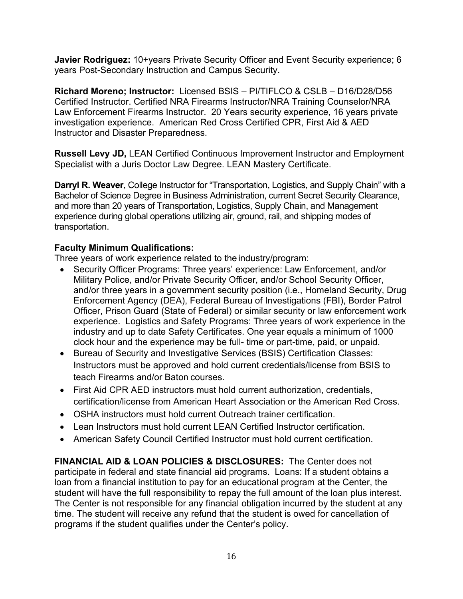**Javier Rodriguez:** 10+years Private Security Officer and Event Security experience; 6 years Post-Secondary Instruction and Campus Security.

**Richard Moreno; Instructor:** Licensed BSIS – PI/TIFLCO & CSLB – D16/D28/D56 Certified Instructor. Certified NRA Firearms Instructor/NRA Training Counselor/NRA Law Enforcement Firearms Instructor. 20 Years security experience, 16 years private investigation experience. American Red Cross Certified CPR, First Aid & AED Instructor and Disaster Preparedness.

**Russell Levy JD,** LEAN Certified Continuous Improvement Instructor and Employment Specialist with a Juris Doctor Law Degree. LEAN Mastery Certificate.

**Darryl R. Weaver**, College Instructor for "Transportation, Logistics, and Supply Chain" with a Bachelor of Science Degree in Business Administration, current Secret Security Clearance, and more than 20 years of Transportation, Logistics, Supply Chain, and Management experience during global operations utilizing air, ground, rail, and shipping modes of transportation.

### **Faculty Minimum Qualifications:**

Three years of work experience related to the industry/program:

- Security Officer Programs: Three years' experience: Law Enforcement, and/or Military Police, and/or Private Security Officer, and/or School Security Officer, and/or three years in a government security position (i.e., Homeland Security, Drug Enforcement Agency (DEA), Federal Bureau of Investigations (FBI), Border Patrol Officer, Prison Guard (State of Federal) or similar security or law enforcement work experience. Logistics and Safety Programs: Three years of work experience in the industry and up to date Safety Certificates. One year equals a minimum of 1000 clock hour and the experience may be full- time or part-time, paid, or unpaid.
- Bureau of Security and Investigative Services (BSIS) Certification Classes: Instructors must be approved and hold current credentials/license from BSIS to teach Firearms and/or Baton courses.
- First Aid CPR AED instructors must hold current authorization, credentials, certification/license from American Heart Association or the American Red Cross.
- OSHA instructors must hold current Outreach trainer certification.
- Lean Instructors must hold current LEAN Certified Instructor certification.
- American Safety Council Certified Instructor must hold current certification.

<span id="page-15-0"></span>**FINANCIAL AID & LOAN POLICIES & DISCLOSURES:** The Center does not participate in federal and state financial aid programs. Loans: If a student obtains a loan from a financial institution to pay for an educational program at the Center, the student will have the full responsibility to repay the full amount of the loan plus interest. The Center is not responsible for any financial obligation incurred by the student at any time. The student will receive any refund that the student is owed for cancellation of programs if the student qualifies under the Center's policy.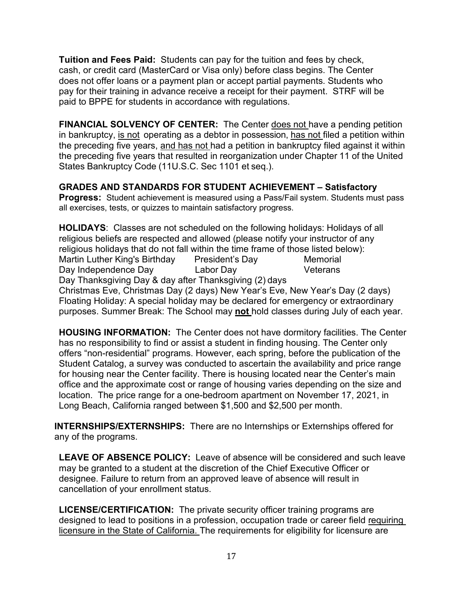**Tuition and Fees Paid:** Students can pay for the tuition and fees by check, cash, or credit card (MasterCard or Visa only) before class begins. The Center does not offer loans or a payment plan or accept partial payments. Students who pay for their training in advance receive a receipt for their payment. STRF will be paid to BPPE for students in accordance with regulations.

**FINANCIAL SOLVENCY OF CENTER:** The Center does not have a pending petition in bankruptcy, is not operating as a debtor in possession, has not filed a petition within the preceding five years, and has not had a petition in bankruptcy filed against it within the preceding five years that resulted in reorganization under Chapter 11 of the United States Bankruptcy Code (11U.S.C. Sec 1101 et seq.).

### **GRADES AND STANDARDS FOR STUDENT ACHIEVEMENT – Satisfactory**

**Progress:** Student achievement is measured using a Pass/Fail system. Students must pass all exercises, tests, or quizzes to maintain satisfactory progress.

<span id="page-16-0"></span>**HOLIDAYS**: Classes are not scheduled on the following holidays: Holidays of all religious beliefs are respected and allowed (please notify your instructor of any religious holidays that do not fall within the time frame of those listed below): Martin Luther King's Birthday President's Day Memorial Day Independence Day Labor Day Veterans Day Thanksgiving Day & day after Thanksgiving (2) days Christmas Eve, Christmas Day (2 days) New Year's Eve, New Year's Day (2 days) Floating Holiday: A special holiday may be declared for emergency or extraordinary purposes. Summer Break: The School may **not** hold classes during July of each year.

<span id="page-16-1"></span>**HOUSING INFORMATION:** The Center does not have dormitory facilities. The Center has no responsibility to find or assist a student in finding housing. The Center only offers "non-residential" programs. However, each spring, before the publication of the Student Catalog, a survey was conducted to ascertain the availability and price range for housing near the Center facility. There is housing located near the Center's main office and the approximate cost or range of housing varies depending on the size and location. The price range for a one-bedroom apartment on November 17, 2021, in Long Beach, California ranged between \$1,500 and \$2,500 per month.

**INTERNSHIPS/EXTERNSHIPS:** There are no Internships or Externships offered for any of the programs.

<span id="page-16-2"></span>**LEAVE OF ABSENCE POLICY:** Leave of absence will be considered and such leave may be granted to a student at the discretion of the Chief Executive Officer or designee. Failure to return from an approved leave of absence will result in cancellation of your enrollment status.

<span id="page-16-3"></span>**LICENSE/CERTIFICATION:** The private security officer training programs are designed to lead to positions in a profession, occupation trade or career field requiring licensure in the State of California. The requirements for eligibility for licensure are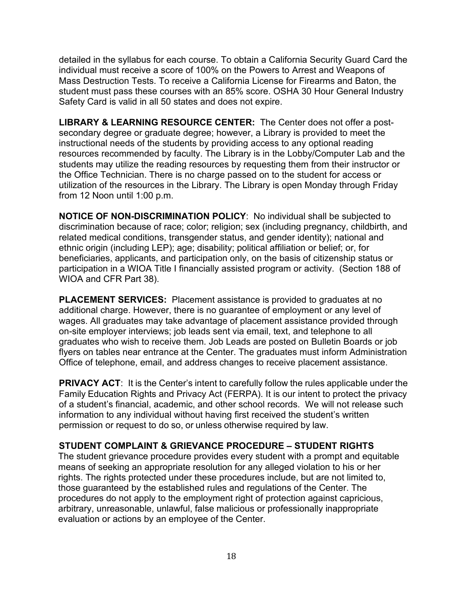detailed in the syllabus for each course. To obtain a California Security Guard Card the individual must receive a score of 100% on the Powers to Arrest and Weapons of Mass Destruction Tests. To receive a California License for Firearms and Baton, the student must pass these courses with an 85% score. OSHA 30 Hour General Industry Safety Card is valid in all 50 states and does not expire.

<span id="page-17-0"></span>**LIBRARY & LEARNING RESOURCE CENTER:** The Center does not offer a postsecondary degree or graduate degree; however, a Library is provided to meet the instructional needs of the students by providing access to any optional reading resources recommended by faculty. The Library is in the Lobby/Computer Lab and the students may utilize the reading resources by requesting them from their instructor or the Office Technician. There is no charge passed on to the student for access or utilization of the resources in the Library. The Library is open Monday through Friday from 12 Noon until 1:00 p.m.

<span id="page-17-1"></span>**NOTICE OF NON-DISCRIMINATION POLICY**: No individual shall be subjected to discrimination because of race; color; religion; sex (including pregnancy, childbirth, and related medical conditions, transgender status, and gender identity); national and ethnic origin (including LEP); age; disability; political affiliation or belief; or, for beneficiaries, applicants, and participation only, on the basis of citizenship status or participation in a WIOA Title I financially assisted program or activity. (Section 188 of WIOA and CFR Part 38).

**PLACEMENT SERVICES:** Placement assistance is provided to graduates at no additional charge. However, there is no guarantee of employment or any level of wages. All graduates may take advantage of placement assistance provided through on-site employer interviews; job leads sent via email, text, and telephone to all graduates who wish to receive them. Job Leads are posted on Bulletin Boards or job flyers on tables near entrance at the Center. The graduates must inform Administration Office of telephone, email, and address changes to receive placement assistance.

<span id="page-17-2"></span>**PRIVACY ACT:** It is the Center's intent to carefully follow the rules applicable under the Family Education Rights and Privacy Act (FERPA). It is our intent to protect the privacy of a student's financial, academic, and other school records. We will not release such information to any individual without having first received the student's written permission or request to do so, or unless otherwise required by law.

### **STUDENT COMPLAINT & GRIEVANCE PROCEDURE – STUDENT RIGHTS**

The student grievance procedure provides every student with a prompt and equitable means of seeking an appropriate resolution for any alleged violation to his or her rights. The rights protected under these procedures include, but are not limited to, those guaranteed by the established rules and regulations of the Center. The procedures do not apply to the employment right of protection against capricious, arbitrary, unreasonable, unlawful, false malicious or professionally inappropriate evaluation or actions by an employee of the Center.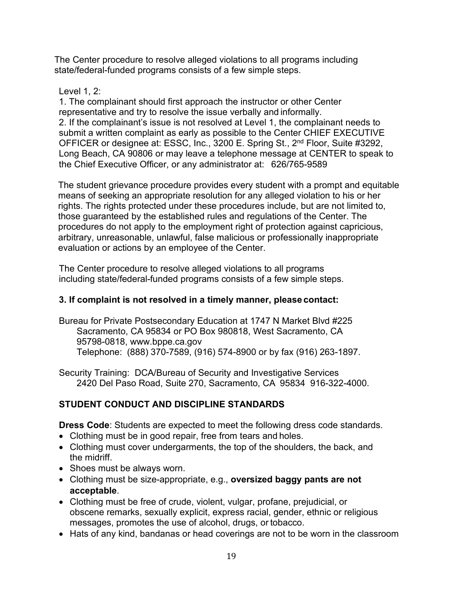The Center procedure to resolve alleged violations to all programs including state/federal-funded programs consists of a few simple steps.

Level 1, 2:

1. The complainant should first approach the instructor or other Center representative and try to resolve the issue verbally and informally. 2. If the complainant's issue is not resolved at Level 1, the complainant needs to submit a written complaint as early as possible to the Center CHIEF EXECUTIVE OFFICER or designee at: ESSC, Inc., 3200 E. Spring St., 2nd Floor, Suite #3292, Long Beach, CA 90806 or may leave a telephone message at CENTER to speak to the Chief Executive Officer, or any administrator at: 626/765-9589

The student grievance procedure provides every student with a prompt and equitable means of seeking an appropriate resolution for any alleged violation to his or her rights. The rights protected under these procedures include, but are not limited to, those guaranteed by the established rules and regulations of the Center. The procedures do not apply to the employment right of protection against capricious, arbitrary, unreasonable, unlawful, false malicious or professionally inappropriate evaluation or actions by an employee of the Center.

The Center procedure to resolve alleged violations to all programs including state/federal-funded programs consists of a few simple steps.

### **3. If complaint is not resolved in a timely manner, please contact:**

Bureau for Private Postsecondary Education at 1747 N Market Blvd #225 Sacramento, CA 95834 or PO Box 980818, West Sacramento, CA 95798-0818, [www.bppe.ca.gov](http://www.bppe.ca.gov/) Telephone: (888) 370-7589, (916) 574-8900 or by fax (916) 263-1897.

Security Training: DCA/Bureau of Security and Investigative Services 2420 Del Paso Road, Suite 270, Sacramento, CA 95834 916-322-4000.

### **STUDENT CONDUCT AND DISCIPLINE STANDARDS**

**Dress Code**: Students are expected to meet the following dress code standards.

- Clothing must be in good repair, free from tears and holes.
- Clothing must cover undergarments, the top of the shoulders, the back, and the midriff.
- Shoes must be always worn.
- Clothing must be size-appropriate, e.g., **oversized baggy pants are not acceptable**.
- Clothing must be free of crude, violent, vulgar, profane, prejudicial, or obscene remarks, sexually explicit, express racial, gender, ethnic or religious messages, promotes the use of alcohol, drugs, or tobacco.
- Hats of any kind, bandanas or head coverings are not to be worn in the classroom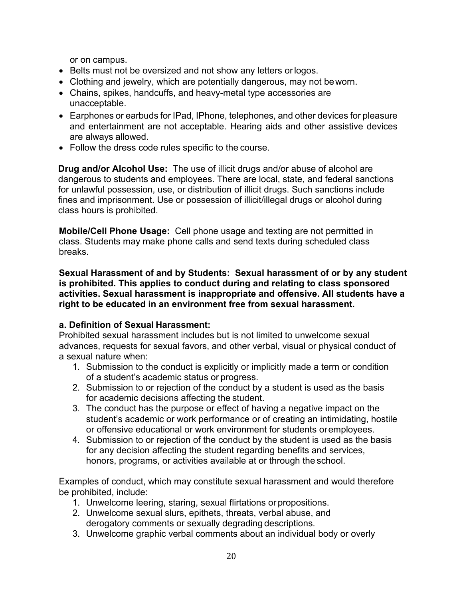or on campus.

- Belts must not be oversized and not show any letters orlogos.
- Clothing and jewelry, which are potentially dangerous, may not beworn.
- Chains, spikes, handcuffs, and heavy-metal type accessories are unacceptable.
- Earphones or earbuds for IPad, IPhone, telephones, and other devices for pleasure and entertainment are not acceptable. Hearing aids and other assistive devices are always allowed.
- Follow the dress code rules specific to the course.

**Drug and/or Alcohol Use:** The use of illicit drugs and/or abuse of alcohol are dangerous to students and employees. There are local, state, and federal sanctions for unlawful possession, use, or distribution of illicit drugs. Such sanctions include fines and imprisonment. Use or possession of illicit/illegal drugs or alcohol during class hours is prohibited.

**Mobile/Cell Phone Usage:** Cell phone usage and texting are not permitted in class. Students may make phone calls and send texts during scheduled class breaks.

**Sexual Harassment of and by Students: Sexual harassment of or by any student is prohibited. This applies to conduct during and relating to class sponsored activities. Sexual harassment is inappropriate and offensive. All students have a right to be educated in an environment free from sexual harassment.**

### **a. Definition of Sexual Harassment:**

Prohibited sexual harassment includes but is not limited to unwelcome sexual advances, requests for sexual favors, and other verbal, visual or physical conduct of a sexual nature when:

- 1. Submission to the conduct is explicitly or implicitly made a term or condition of a student's academic status or progress.
- 2. Submission to or rejection of the conduct by a student is used as the basis for academic decisions affecting the student.
- 3. The conduct has the purpose or effect of having a negative impact on the student's academic or work performance or of creating an intimidating, hostile or offensive educational or work environment for students oremployees.
- 4. Submission to or rejection of the conduct by the student is used as the basis for any decision affecting the student regarding benefits and services, honors, programs, or activities available at or through the school.

Examples of conduct, which may constitute sexual harassment and would therefore be prohibited, include:

- 1. Unwelcome leering, staring, sexual flirtations or propositions.
- 2. Unwelcome sexual slurs, epithets, threats, verbal abuse, and derogatory comments or sexually degrading descriptions.
- 3. Unwelcome graphic verbal comments about an individual body or overly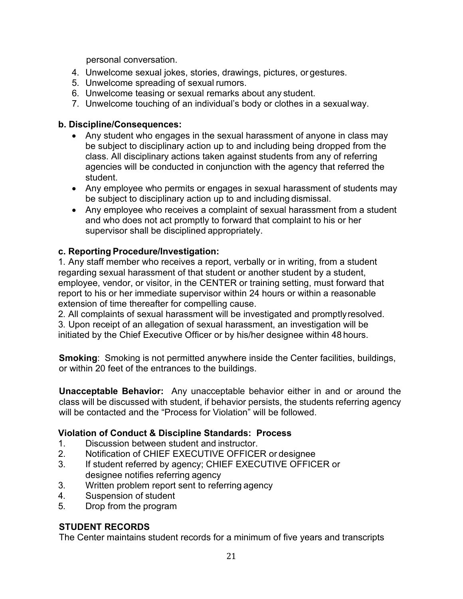personal conversation.

- 4. Unwelcome sexual jokes, stories, drawings, pictures, or gestures.
- 5. Unwelcome spreading of sexual rumors.
- 6. Unwelcome teasing or sexual remarks about any student.
- 7. Unwelcome touching of an individual's body or clothes in a sexualway.

### **b. Discipline/Consequences:**

- Any student who engages in the sexual harassment of anyone in class may be subject to disciplinary action up to and including being dropped from the class. All disciplinary actions taken against students from any of referring agencies will be conducted in conjunction with the agency that referred the student.
- Any employee who permits or engages in sexual harassment of students may be subject to disciplinary action up to and including dismissal.
- Any employee who receives a complaint of sexual harassment from a student and who does not act promptly to forward that complaint to his or her supervisor shall be disciplined appropriately.

### **c. Reporting Procedure/Investigation:**

1. Any staff member who receives a report, verbally or in writing, from a student regarding sexual harassment of that student or another student by a student, employee, vendor, or visitor, in the CENTER or training setting, must forward that report to his or her immediate supervisor within 24 hours or within a reasonable extension of time thereafter for compelling cause.

2. All complaints of sexual harassment will be investigated and promptlyresolved. 3. Upon receipt of an allegation of sexual harassment, an investigation will be initiated by the Chief Executive Officer or by his/her designee within 48 hours.

**Smoking:** Smoking is not permitted anywhere inside the Center facilities, buildings, or within 20 feet of the entrances to the buildings.

**Unacceptable Behavior:** Any unacceptable behavior either in and or around the class will be discussed with student, if behavior persists, the students referring agency will be contacted and the "Process for Violation" will be followed.

### **Violation of Conduct & Discipline Standards: Process**

- 1. Discussion between student and instructor.
- 2. Notification of CHIEF EXECUTIVE OFFICER or designee
- 3. If student referred by agency; CHIEF EXECUTIVE OFFICER or designee notifies referring agency
- 3. Written problem report sent to referring agency
- 4. Suspension of student
- <span id="page-20-0"></span>5. Drop from the program

### **STUDENT RECORDS**

The Center maintains student records for a minimum of five years and transcripts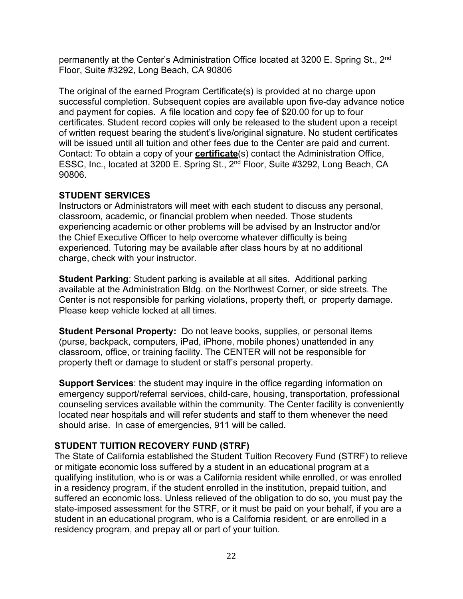permanently at the Center's Administration Office located at 3200 E. Spring St., 2nd Floor, Suite #3292, Long Beach, CA 90806

The original of the earned Program Certificate(s) is provided at no charge upon successful completion. Subsequent copies are available upon five-day advance notice and payment for copies. A file location and copy fee of \$20.00 for up to four certificates. Student record copies will only be released to the student upon a receipt of written request bearing the student's live/original signature. No student certificates will be issued until all tuition and other fees due to the Center are paid and current. Contact: To obtain a copy of your **certificate**(s) contact the Administration Office, ESSC, Inc., located at 3200 E. Spring St., 2<sup>nd</sup> Floor, Suite #3292, Long Beach, CA 90806.

### <span id="page-21-0"></span>**STUDENT SERVICES**

Instructors or Administrators will meet with each student to discuss any personal, classroom, academic, or financial problem when needed. Those students experiencing academic or other problems will be advised by an Instructor and/or the Chief Executive Officer to help overcome whatever difficulty is being experienced. Tutoring may be available after class hours by at no additional charge, check with your instructor.

**Student Parking**: Student parking is available at all sites. Additional parking available at the Administration Bldg. on the Northwest Corner, or side streets. The Center is not responsible for parking violations, property theft, or property damage. Please keep vehicle locked at all times.

**Student Personal Property:** Do not leave books, supplies, or personal items (purse, backpack, computers, iPad, iPhone, mobile phones) unattended in any classroom, office, or training facility. The CENTER will not be responsible for property theft or damage to student or staff's personal property.

**Support Services**: the student may inquire in the office regarding information on emergency support/referral services, child-care, housing, transportation, professional counseling services available within the community. The Center facility is conveniently located near hospitals and will refer students and staff to them whenever the need should arise. In case of emergencies, 911 will be called.

### <span id="page-21-1"></span>**STUDENT TUITION RECOVERY FUND (STRF)**

The State of California established the Student Tuition Recovery Fund (STRF) to relieve or mitigate economic loss suffered by a student in an educational program at a qualifying institution, who is or was a California resident while enrolled, or was enrolled in a residency program, if the student enrolled in the institution, prepaid tuition, and suffered an economic loss. Unless relieved of the obligation to do so, you must pay the state-imposed assessment for the STRF, or it must be paid on your behalf, if you are a student in an educational program, who is a California resident, or are enrolled in a residency program, and prepay all or part of your tuition.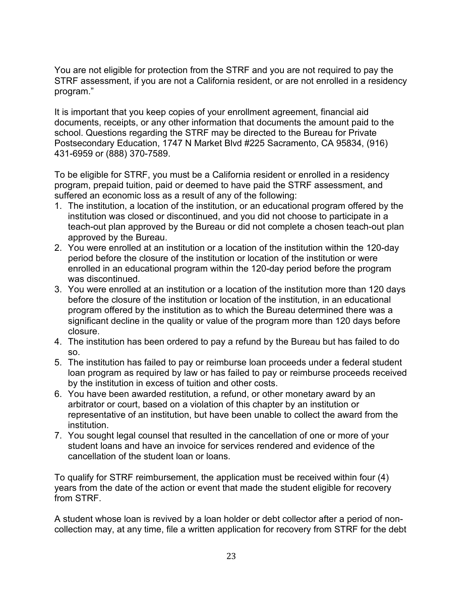You are not eligible for protection from the STRF and you are not required to pay the STRF assessment, if you are not a California resident, or are not enrolled in a residency program."

It is important that you keep copies of your enrollment agreement, financial aid documents, receipts, or any other information that documents the amount paid to the school. Questions regarding the STRF may be directed to the Bureau for Private Postsecondary Education, 1747 N Market Blvd #225 Sacramento, CA 95834, (916) 431-6959 or (888) 370-7589.

To be eligible for STRF, you must be a California resident or enrolled in a residency program, prepaid tuition, paid or deemed to have paid the STRF assessment, and suffered an economic loss as a result of any of the following:

- 1. The institution, a location of the institution, or an educational program offered by the institution was closed or discontinued, and you did not choose to participate in a teach-out plan approved by the Bureau or did not complete a chosen teach-out plan approved by the Bureau.
- 2. You were enrolled at an institution or a location of the institution within the 120-day period before the closure of the institution or location of the institution or were enrolled in an educational program within the 120-day period before the program was discontinued.
- 3. You were enrolled at an institution or a location of the institution more than 120 days before the closure of the institution or location of the institution, in an educational program offered by the institution as to which the Bureau determined there was a significant decline in the quality or value of the program more than 120 days before closure.
- 4. The institution has been ordered to pay a refund by the Bureau but has failed to do so.
- 5. The institution has failed to pay or reimburse loan proceeds under a federal student loan program as required by law or has failed to pay or reimburse proceeds received by the institution in excess of tuition and other costs.
- 6. You have been awarded restitution, a refund, or other monetary award by an arbitrator or court, based on a violation of this chapter by an institution or representative of an institution, but have been unable to collect the award from the institution.
- 7. You sought legal counsel that resulted in the cancellation of one or more of your student loans and have an invoice for services rendered and evidence of the cancellation of the student loan or loans.

To qualify for STRF reimbursement, the application must be received within four (4) years from the date of the action or event that made the student eligible for recovery from STRF.

A student whose loan is revived by a loan holder or debt collector after a period of noncollection may, at any time, file a written application for recovery from STRF for the debt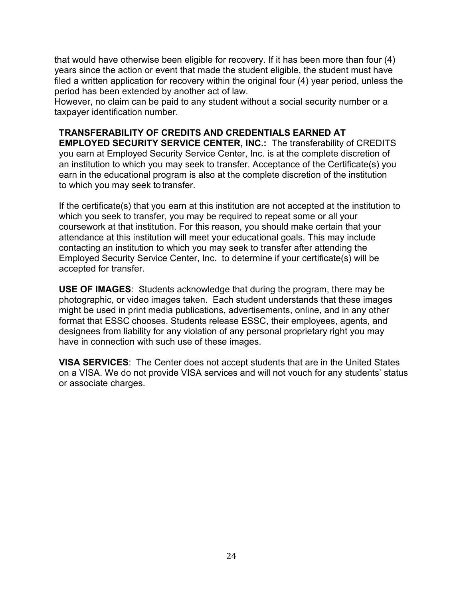that would have otherwise been eligible for recovery. If it has been more than four (4) years since the action or event that made the student eligible, the student must have filed a written application for recovery within the original four (4) year period, unless the period has been extended by another act of law.

However, no claim can be paid to any student without a social security number or a taxpayer identification number.

### **TRANSFERABILITY OF CREDITS AND CREDENTIALS EARNED AT**

**EMPLOYED SECURITY SERVICE CENTER, INC.:** The transferability of CREDITS you earn at Employed Security Service Center, Inc. is at the complete discretion of an institution to which you may seek to transfer. Acceptance of the Certificate(s) you earn in the educational program is also at the complete discretion of the institution to which you may seek to transfer.

If the certificate(s) that you earn at this institution are not accepted at the institution to which you seek to transfer, you may be required to repeat some or all your coursework at that institution. For this reason, you should make certain that your attendance at this institution will meet your educational goals. This may include contacting an institution to which you may seek to transfer after attending the Employed Security Service Center, Inc. to determine if your certificate(s) will be accepted for transfer.

**USE OF IMAGES**: Students acknowledge that during the program, there may be photographic, or video images taken. Each student understands that these images might be used in print media publications, advertisements, online, and in any other format that ESSC chooses. Students release ESSC, their employees, agents, and designees from liability for any violation of any personal proprietary right you may have in connection with such use of these images.

**VISA SERVICES**: The Center does not accept students that are in the United States on a VISA. We do not provide VISA services and will not vouch for any students' status or associate charges.